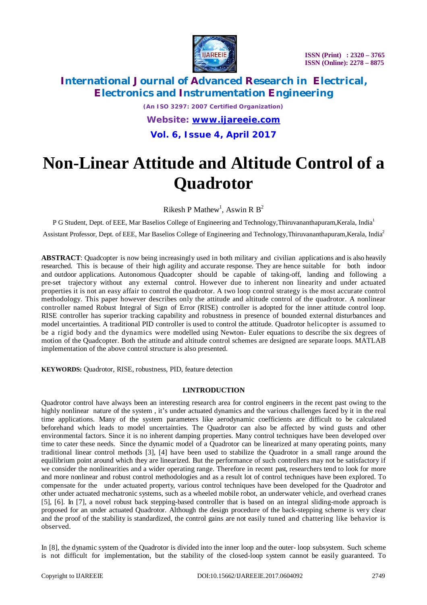

# **International Journal of Advanced Research in Electrical, Electronics and Instrumentation Engineering**

*(An ISO 3297: 2007 Certified Organization) Website: [www.ijareeie.com](http://www.ijareeie.com)* **Vol. 6, Issue 4, April 2017**

# **Non-Linear Attitude and Altitude Control of a Quadrotor**

Rikesh P Mathew<sup>1</sup>, Aswin R  $B^2$ 

P G Student, Dept. of EEE, Mar Baselios College of Engineering and Technology, Thiruvananthapuram, Kerala, India<sup>1</sup>

Assistant Professor, Dept. of EEE, Mar Baselios College of Engineering and Technology,Thiruvananthapuram,Kerala, India<sup>2</sup>

**ABSTRACT**: Quadcopter is now being increasingly used in both military and civilian applications and is also heavily researched. This is because of their high agility and accurate response. They are hence suitable for both indoor and outdoor applications. Autonomous Quadcopter should be capable of taking-off, landing and following a pre-set trajectory without any external control. However due to inherent non linearity and under actuated properties it is not an easy affair to control the quadrotor. A two loop control strategy is the most accurate control methodology. This paper however describes only the attitude and altitude control of the quadrotor. A nonlinear controller named Robust Integral of Sign of Error (RISE) controller is adopted for the inner attitude control loop. RISE controller has superior tracking capability and robustness in presence of bounded external disturbances and model uncertainties. A traditional PID controller is used to control the attitude. Quadrotor helicopter is assumed to be a rigid body and the dynamics were modelled using Newton- Euler equations to describe the six degrees of motion of the Quadcopter. Both the attitude and altitude control schemes are designed are separate loops. MATLAB implementation of the above control structure is also presented.

**KEYWORDS:** Quadrotor, RISE, robustness, PID, feature detection

#### **I.INTRODUCTION**

Quadrotor control have always been an interesting research area for control engineers in the recent past owing to the highly nonlinear nature of the system, it's under actuated dynamics and the various challenges faced by it in the real time applications. Many of the system parameters like aerodynamic coefficients are difficult to be calculated beforehand which leads to model uncertainties. The Quadrotor can also be affected by wind gusts and other environmental factors. Since it is no inherent damping properties. Many control techniques have been developed over time to cater these needs. Since the dynamic model of a Quadrotor can be linearized at many operating points, many traditional linear control methods [3], [4] have been used to stabilize the Quadrotor in a small range around the equilibrium point around which they are linearized. But the performance of such controllers may not be satisfactory if we consider the nonlinearities and a wider operating range. Therefore in recent past, researchers tend to look for more and more nonlinear and robust control methodologies and as a result lot of control techniques have been explored. To compensate for the under actuated property, various control techniques have been developed for the Quadrotor and other under actuated mechatronic systems, such as a wheeled mobile robot, an underwater vehicle, and overhead cranes [5], [6]. In [7], a novel robust back stepping-based controller that is based on an integral sliding-mode approach is proposed for an under actuated Quadrotor. Although the design procedure of the back-stepping scheme is very clear and the proof of the stability is standardized, the control gains are not easily tuned and chattering like behavior is observed.

In [8], the dynamic system of the Quadrotor is divided into the inner loop and the outer- loop subsystem. Such scheme is not difficult for implementation, but the stability of the closed-loop system cannot be easily guaranteed. To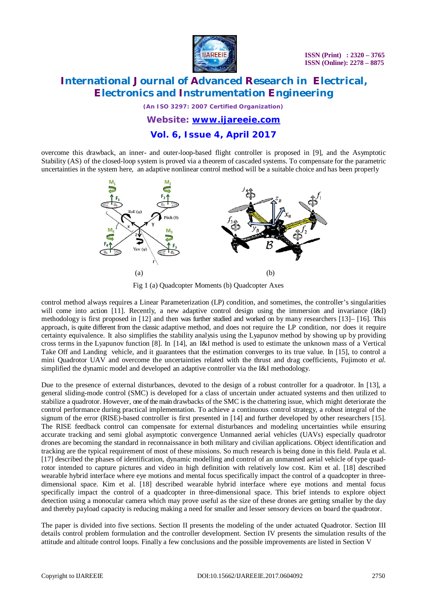

# **International Journal of Advanced Research in Electrical, Electronics and Instrumentation Engineering**

*(An ISO 3297: 2007 Certified Organization)*

#### *Website: [www.ijareeie.com](http://www.ijareeie.com)*

## **Vol. 6, Issue 4, April 2017**

overcome this drawback, an inner- and outer-loop-based flight controller is proposed in [9], and the Asymptotic Stability (AS) of the closed-loop system is proved via a theorem of cascaded systems. To compensate for the parametric uncertainties in the system here, an adaptive nonlinear control method will be a suitable choice and has been properly



Fig 1 (a) Quadcopter Moments (b) Quadcopter Axes

control method always requires a Linear Parameterization (LP) condition, and sometimes, the controller's singularities will come into action [11]. Recently, a new adaptive control design using the immersion and invariance (I&I) methodology is first proposed in [12] and then was further studied and worked on by many researchers [13]– [16]. This approach, is quite different from the classic adaptive method, and does not require the LP condition, nor does it require certainty equivalence. It also simplifies the stability analysis using the Lyapunov method by showing up by providing cross terms in the Lyapunov function [8]. In [14], an I&I method is used to estimate the unknown mass of a Vertical Take Off and Landing vehicle, and it guarantees that the estimation converges to its true value. In [15], to control a mini Quadrotor UAV and overcome the uncertainties related with the thrust and drag coefficients, Fujimoto *et al.*  simplified the dynamic model and developed an adaptive controller via the I&I methodology.

Due to the presence of external disturbances, devoted to the design of a robust controller for a quadrotor. In [13], a general sliding-mode control (SMC) is developed for a class of uncertain under actuated systems and then utilized to stabilize a quadrotor. However, one of the main drawbacks of the SMC is the chattering issue, which might deteriorate the control performance during practical implementation. To achieve a continuous control strategy, a robust integral of the signum of the error (RISE)-based controller is first presented in [14] and further developed by other researchers [15]. The RISE feedback control can compensate for external disturbances and modeling uncertainties while ensuring accurate tracking and semi global asymptotic convergence Unmanned aerial vehicles (UAVs) especially quadrotor drones are becoming the standard in reconnaissance in both military and civilian applications. Object identification and tracking are the typical requirement of most of these missions. So much research is being done in this field. Paula et al. [17] described the phases of identification, dynamic modelling and control of an unmanned aerial vehicle of type quadrotor intended to capture pictures and video in high definition with relatively low cost. Kim et al. [18] described wearable hybrid interface where eye motions and mental focus specifically impact the control of a quadcopter in threedimensional space. Kim et al. [18] described wearable hybrid interface where eye motions and mental focus specifically impact the control of a quadcopter in three-dimensional space. This brief intends to explore object detection using a monocular camera which may prove useful as the size of these drones are getting smaller by the day and thereby payload capacity is reducing making a need for smaller and lesser sensory devices on board the quadrotor.

The paper is divided into five sections. Section II presents the modeling of the under actuated Quadrotor. Section III details control problem formulation and the controller development. Section IV presents the simulation results of the attitude and altitude control loops. Finally a few conclusions and the possible improvements are listed in Section V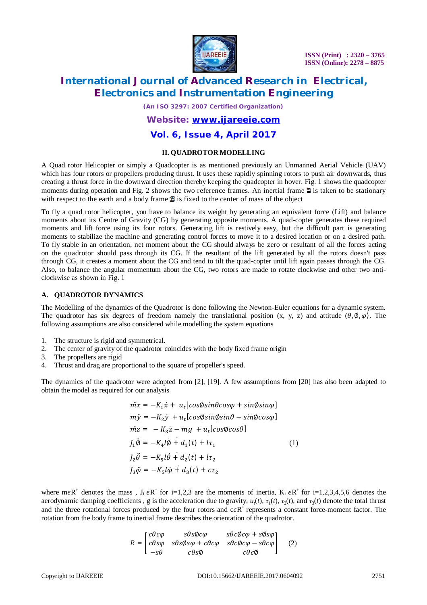

# **International Journal of Advanced Research in Electrical, Electronics and Instrumentation Engineering**

*(An ISO 3297: 2007 Certified Organization)*

### *Website: [www.ijareeie.com](http://www.ijareeie.com)*

### **Vol. 6, Issue 4, April 2017**

#### **II. QUADROTOR MODELLING**

A Quad rotor Helicopter or simply a Quadcopter is as mentioned previously an Unmanned Aerial Vehicle (UAV) which has four rotors or propellers producing thrust. It uses these rapidly spinning rotors to push air downwards, thus creating a thrust force in the downward direction thereby keeping the quadcopter in hover. Fig. 1 shows the quadcopter moments during operation and Fig. 2 shows the two reference frames. An inertial frame  $\Xi$  is taken to be stationary with respect to the earth and a body frame  $\mathbf{B}$  is fixed to the center of mass of the object

To fly a quad rotor helicopter, you have to balance its weight by generating an equivalent force (Lift) and balance moments about its Centre of Gravity (CG) by generating opposite moments. A quad-copter generates these required moments and lift force using its four rotors. Generating lift is restively easy, but the difficult part is generating moments to stabilize the machine and generating control forces to move it to a desired location or on a desired path. To fly stable in an orientation, net moment about the CG should always be zero or resultant of all the forces acting on the quadrotor should pass through its CG. If the resultant of the lift generated by all the rotors doesn't pass through CG, it creates a moment about the CG and tend to tilt the quad-copter until lift again passes through the CG. Also, to balance the angular momentum about the CG, two rotors are made to rotate clockwise and other two anticlockwise as shown in Fig. 1

#### **A. QUADROTOR DYNAMICS**

The Modelling of the dynamics of the Quadrotor is done following the Newton-Euler equations for a dynamic system. The quadrotor has six degrees of freedom namely the translational position (x, y, z) and attitude ( $\theta$ ,  $\varphi$ ). The following assumptions are also considered while modelling the system equations

- 1. The structure is rigid and symmetrical.
- 2. The center of gravity of the quadrotor coincides with the body fixed frame origin
- 3. The propellers are rigid
- 4. Thrust and drag are proportional to the square of propeller's speed.

The dynamics of the quadrotor were adopted from [2], [19]. A few assumptions from [20] has also been adapted to obtain the model as required for our analysis

$$
\begin{aligned}\n\dot{m}x &= -K_1 \dot{x} + u_t [\cos\phi \sin\theta \cos\varphi + \sin\phi \sin\varphi] \\
m\ddot{y} &= -K_2 \dot{y} + u_t [\cos\phi \sin\phi \sin\theta - \sin\phi \cos\varphi] \\
\dot{m}z &= -K_3 \dot{z} - mg + u_t [\cos\phi \cos\theta] \\
J_1 \ddot{\phi} &= -K_4 l \dot{\phi} + d_1(t) + l\tau_1 \\
J_2 \ddot{\theta} &= -K_5 l \dot{\theta} + d_2(t) + l\tau_2 \\
J_3 \ddot{\phi} &= -K_5 l \dot{\phi} + d_3(t) + c\tau_2\n\end{aligned} \tag{1}
$$

where m $\epsilon R^+$  denotes the mass,  $J_i \epsilon R^+$  for i=1,2,3 are the moments of inertia,  $K_i \epsilon R^+$  for i=1,2,3,4,5,6 denotes the aerodynamic damping coefficients, g is the acceleration due to gravity,  $u_t(t)$ ,  $\tau_1(t)$ ,  $\tau_2(t)$ , and  $\tau_3(t)$  denote the total thrust and the three rotational forces produced by the four rotors and  $c\epsilon R^+$  represents a constant force-moment factor. The rotation from the body frame to inertial frame describes the orientation of the quadrotor.

$$
R = \begin{bmatrix} c\theta c\varphi & s\theta s\varphi c\varphi & s\theta c\varphi c\varphi + s\varphi s\varphi \\ c\theta s\varphi & s\theta s\varphi s\varphi + c\theta c\varphi & s\theta c\varphi c\varphi - s\theta c\varphi \\ -s\theta & c\theta s\varphi & c\theta c\varphi \end{bmatrix}
$$
 (2)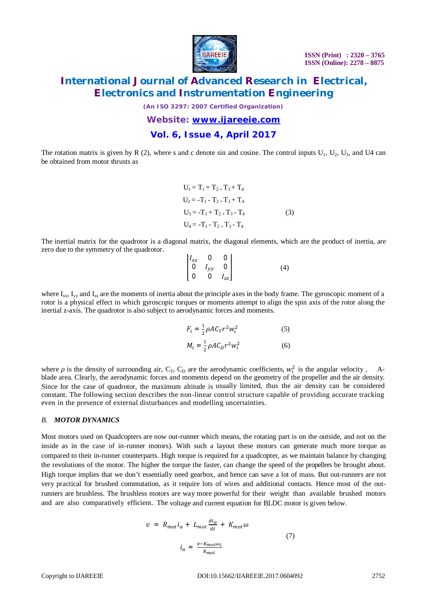

# **International Journal of Advanced Research in Electrical, Electronics and Instrumentation Engineering**

*(An ISO 3297: 2007 Certified Organization)*

*Website: [www.ijareeie.com](http://www.ijareeie.com)*

## **Vol. 6, Issue 4, April 2017**

The rotation matrix is given by R (2), where s and c denote sin and cosine. The control inputs  $U_1$ ,  $U_2$ ,  $U_3$ , and U4 can be obtained from motor thrusts as

$$
U_1 = T_1 + T_2 + T_3 + T_4
$$
  
\n
$$
U_2 = -T_1 - T_2 + T_3 + T_4
$$
  
\n
$$
U_3 = -T_1 + T_2 + T_3 - T_4
$$
  
\n
$$
U_4 = -T_1 - T_2 + T_3 - T_4
$$
\n(3)

The inertial matrix for the quadrotor is a diagonal matrix, the diagonal elements, which are the product of inertia, are zero due to the symmetry of the quadrotor.

$$
\begin{bmatrix} I_{xx} & 0 & 0 \\ 0 & I_{yy} & 0 \\ 0 & 0 & I_{zz} \end{bmatrix}
$$
 (4)

where  $I_{xx}$ ,  $I_{yy}$  and  $I_{zz}$  are the moments of inertia about the principle axes in the body frame. The gyroscopic moment of a rotor is a physical effect in which gyroscopic torques or moments attempt to align the spin axis of the rotor along the inertial z-axis. The quadrotor is also subject to aerodynamic forces and moments.

$$
F_i = \frac{1}{2} \rho A C_T r^2 w_i^2
$$
 (5)  

$$
M_i = \frac{1}{2} \rho A C_D r^2 w_i^2
$$
 (6)

where  $\rho$  is the density of surrounding air, C<sub>T</sub>, C<sub>D</sub> are the aerodynamic coefficients,  $w_i^2$  is the angular velocity, Ablade area. Clearly, the aerodynamic forces and moments depend on the geometry of the propeller and the air density. Since for the case of quadrotor, the maximum altitude is usually limited, thus the air density can be considered constant. The following section describes the non-linear control structure capable of providing accurate tracking even in the presence of external disturbances and modelling uncertainties.

#### *B. MOTOR DYNAMICS*

Most motors used on Quadcopters are now out-runner which means, the rotating part is on the outside, and not on the inside as in the case of in-runner motors). With such a layout these motors can generate much more torque as compared to their in-runner counterparts. High torque is required for a quadcopter, as we maintain balance by changing the revolutions of the motor. The higher the torque the faster, can change the speed of the propellers be brought about. High torque implies that we don't essentially need gearbox, and hence can save a lot of mass. But out-runners are not very practical for brushed commutation, as it require lots of wires and additional contacts. Hence most of the outrunners are brushless. The brushless motors are way more powerful for their weight than available brushed motors and are also comparatively efficient. The voltage and current equation for BLDC motor is given below.

$$
v = R_{mot}i_a + L_{mot} \frac{di_a}{dt} + K_{mot} \omega
$$

$$
i_a = \frac{v - K_{mot} \omega_i}{R_{mot}}
$$
(7)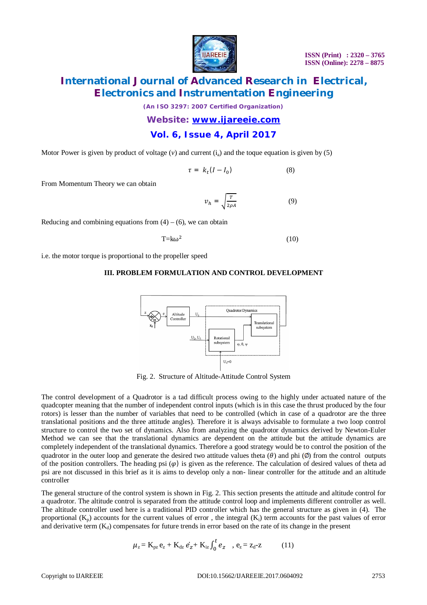

# **International Journal of Advanced Research in Electrical, Electronics and Instrumentation Engineering**

*(An ISO 3297: 2007 Certified Organization)*

*Website: [www.ijareeie.com](http://www.ijareeie.com)*

### **Vol. 6, Issue 4, April 2017**

Motor Power is given by product of voltage  $(v)$  and current  $(i_a)$  and the toque equation is given by  $(5)$ 

$$
\tau = k_t (I - I_0) \tag{8}
$$

From Momentum Theory we can obtain

$$
\nu_h = \sqrt{\frac{r}{2\rho A}}\tag{9}
$$

Reducing and combining equations from  $(4) - (6)$ , we can obtain

$$
T = k\omega^2 \tag{10}
$$

i.e. the motor torque is proportional to the propeller speed

#### **III. PROBLEM FORMULATION AND CONTROL DEVELOPMENT**



Fig. 2. Structure of Altitude-Attitude Control System

The control development of a Quadrotor is a tad difficult process owing to the highly under actuated nature of the quadcopter meaning that the number of independent control inputs (which is in this case the thrust produced by the four rotors) is lesser than the number of variables that need to be controlled (which in case of a quadrotor are the three translational positions and the three attitude angles). Therefore it is always advisable to formulate a two loop control structure to control the two set of dynamics. Also from analyzing the quadrotor dynamics derived by Newton-Euler Method we can see that the translational dynamics are dependent on the attitude but the attitude dynamics are completely independent of the translational dynamics. Therefore a good strategy would be to control the position of the quadrotor in the outer loop and generate the desired two attitude values theta  $(\theta)$  and phi  $(\emptyset)$  from the control outputs of the position controllers. The heading psi  $(\varphi)$  is given as the reference. The calculation of desired values of theta ad psi are not discussed in this brief as it is aims to develop only a non- linear controller for the attitude and an altitude controller

The general structure of the control system is shown in Fig. 2. This section presents the attitude and altitude control for a quadrotor. The altitude control is separated from the attitude control loop and implements different controller as well. The altitude controller used here is a traditional PID controller which has the general structure as given in (4). The proportional  $(K_n)$  accounts for the current values of error, the integral  $(K_i)$  term accounts for the past values of error and derivative term  $(K_d)$  compensates for future trends in error based on the rate of its change in the present

$$
\mu_{z} = K_{pz} e_{z} + K_{dz} e_{z} + K_{iz} \int_{0}^{t} e_{z} , e_{z} = z_{d} - z \qquad (11)
$$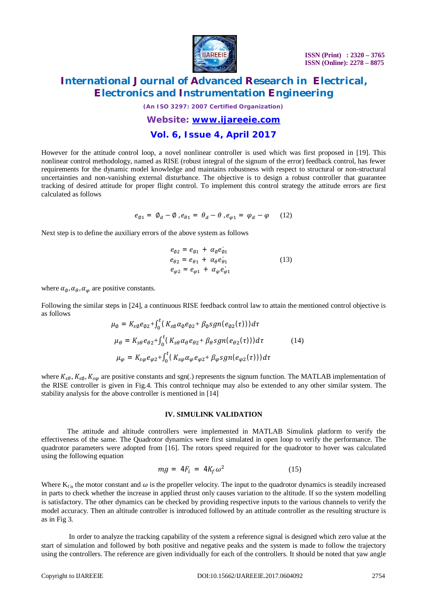

# **International Journal of Advanced Research in Electrical, Electronics and Instrumentation Engineering**

*(An ISO 3297: 2007 Certified Organization)*

# *Website: [www.ijareeie.com](http://www.ijareeie.com)*

### **Vol. 6, Issue 4, April 2017**

However for the attitude control loop, a novel nonlinear controller is used which was first proposed in [19]. This nonlinear control methodology, named as RISE (robust integral of the signum of the error) feedback control, has fewer requirements for the dynamic model knowledge and maintains robustness with respect to structural or non-structural uncertainties and non-vanishing external disturbance. The objective is to design a robust controller that guarantee tracking of desired attitude for proper flight control. To implement this control strategy the attitude errors are first calculated as follows

$$
e_{\emptyset 1} = \emptyset_d - \emptyset, e_{\theta 1} = \theta_d - \theta, e_{\varphi 1} = \varphi_d - \varphi \qquad (12)
$$

Next step is to define the auxiliary errors of the above system as follows

$$
e_{\theta 2} = e_{\theta 1} + \alpha_{\theta} e_{\theta 1}
$$
  
\n
$$
e_{\theta 2} = e_{\theta 1} + \alpha_{\theta} e_{\theta 1}
$$
  
\n
$$
e_{\phi 2} = e_{\phi 1} + \alpha_{\phi} e_{\phi 1}
$$
\n(13)

where  $\alpha_{\emptyset}$ ,  $\alpha_{\theta}$ ,  $\alpha_{\omega}$  are positive constants.

Following the similar steps in [24], a continuous RISE feedback control law to attain the mentioned control objective is as follows

$$
\mu_{\emptyset} = K_{s\emptyset}e_{\emptyset 2} + \int_{0}^{t} (K_{s\emptyset}\alpha_{\emptyset}e_{\emptyset 2} + \beta_{\emptyset}sgn(e_{\emptyset 2}(\tau)))d\tau
$$
\n
$$
\mu_{\theta} = K_{s\theta}e_{\theta 2} + \int_{0}^{t} (K_{s\theta}\alpha_{\theta}e_{\theta 2} + \beta_{\theta}sgn(e_{\theta 2}(\tau)))d\tau
$$
\n
$$
\mu_{\phi} = K_{s\phi}e_{\phi 2} + \int_{0}^{t} (K_{s\phi}\alpha_{\phi}e_{\phi 2} + \beta_{\phi}sgn(e_{\phi 2}(\tau)))d\tau
$$
\n(14)

where  $K_{s\theta}$ ,  $K_{s\phi}$ ,  $K_{s\phi}$  are positive constants and sgn(.) represents the signum function. The MATLAB implementation of the RISE controller is given in Fig.4. This control technique may also be extended to any other similar system. The stability analysis for the above controller is mentioned in [14]

#### **IV. SIMULINK VALIDATION**

The attitude and altitude controllers were implemented in MATLAB Simulink platform to verify the effectiveness of the same. The Quadrotor dynamics were first simulated in open loop to verify the performance. The quadrotor parameters were adopted from [16]. The rotors speed required for the quadrotor to hover was calculated using the following equation

$$
mg = 4F_i = 4K_f\omega^2 \tag{15}
$$

Where  $K_{fis}$  the motor constant and  $\omega$  is the propeller velocity. The input to the quadrotor dynamics is steadily increased in parts to check whether the increase in applied thrust only causes variation to the altitude. If so the system modelling is satisfactory. The other dynamics can be checked by providing respective inputs to the various channels to verify the model accuracy. Then an altitude controller is introduced followed by an attitude controller as the resulting structure is as in Fig 3.

In order to analyze the tracking capability of the system a reference signal is designed which zero value at the start of simulation and followed by both positive and negative peaks and the system is made to follow the trajectory using the controllers. The reference are given individually for each of the controllers. It should be noted that yaw angle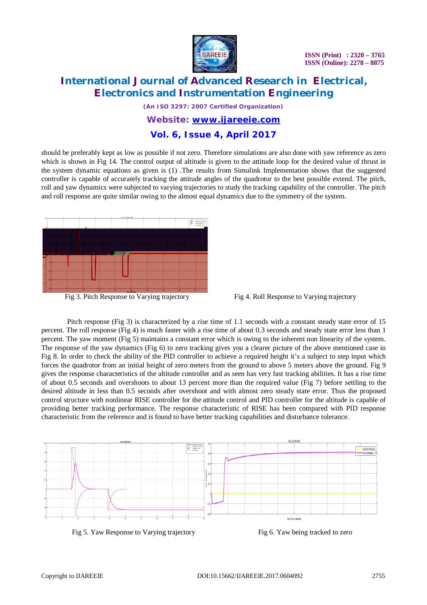

# **International Journal of Advanced Research in Electrical, Electronics and Instrumentation Engineering**

*(An ISO 3297: 2007 Certified Organization)*

### *Website: [www.ijareeie.com](http://www.ijareeie.com)*

### **Vol. 6, Issue 4, April 2017**

should be preferably kept as low as possible if not zero. Therefore simulations are also done with yaw reference as zero which is shown in Fig 14. The control output of altitude is given to the attitude loop for the desired value of thrust in the system dynamic equations as given is (1) .The results from Simulink Implementation shows that the suggested controller is capable of accurately tracking the attitude angles of the quadrotor to the best possible extend. The pitch, roll and yaw dynamics were subjected to varying trajectories to study the tracking capability of the controller. The pitch and roll response are quite similar owing to the almost equal dynamics due to the symmetry of the system.



Fig 3. Pitch Response to Varying trajectory Fig 4. Roll Response to Varying trajectory

Pitch response (Fig 3) is characterized by a rise time of 1.1 seconds with a constant steady state error of 15 percent. The roll response (Fig 4) is much faster with a rise time of about 0.3 seconds and steady state error less than 1 percent. The yaw moment (Fig 5) maintains a constant error which is owing to the inherent non linearity of the system. The response of the yaw dynamics (Fig 6) to zero tracking gives you a clearer picture of the above mentioned case in Fig 8. In order to check the ability of the PID controller to achieve a required height it's a subject to step input which forces the quadrotor from an initial height of zero meters from the ground to above 5 meters above the ground. Fig 9 gives the response characteristics of the altitude controller and as seen has very fast tracking abilities. It has a rise time of about 0.5 seconds and overshoots to about 13 percent more than the required value (Fig 7) before settling to the desired altitude in less than 0.5 seconds after overshoot and with almost zero steady state error. Thus the proposed control structure with nonlinear RISE controller for the attitude control and PID controller for the altitude is capable of providing better tracking performance. The response characteristic of RISE has been compared with PID response characteristic from the reference and is found to have better tracking capabilities and disturbance tolerance.



Fig 5. Yaw Response to Varying trajectory Fig 6. Yaw being tracked to zero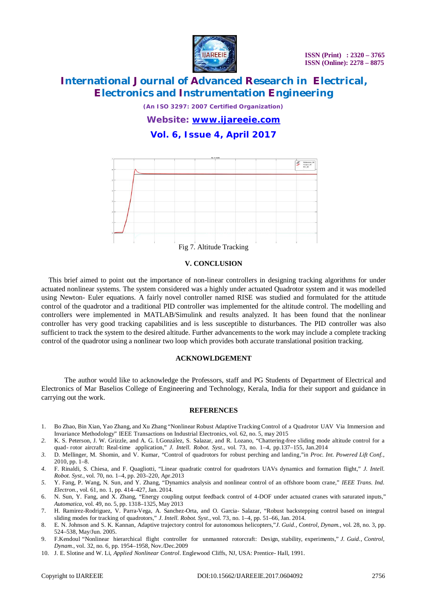

# **International Journal of Advanced Research in Electrical, Electronics and Instrumentation Engineering**

*(An ISO 3297: 2007 Certified Organization)*

*Website: [www.ijareeie.com](http://www.ijareeie.com)*

## **Vol. 6, Issue 4, April 2017**



#### **V. CONCLUSION**

This brief aimed to point out the importance of non-linear controllers in designing tracking algorithms for under actuated nonlinear systems. The system considered was a highly under actuated Quadrotor system and it was modelled using Newton- Euler equations. A fairly novel controller named RISE was studied and formulated for the attitude control of the quadrotor and a traditional PID controller was implemented for the altitude control. The modelling and controllers were implemented in MATLAB/Simulink and results analyzed. It has been found that the nonlinear controller has very good tracking capabilities and is less susceptible to disturbances. The PID controller was also sufficient to track the system to the desired altitude. Further advancements to the work may include a complete tracking control of the quadrotor using a nonlinear two loop which provides both accurate translational position tracking.

#### **ACKNOWLDGEMENT**

 The author would like to acknowledge the Professors, staff and PG Students of Department of Electrical and Electronics of Mar Baselios College of Engineering and Technology, Kerala, India for their support and guidance in carrying out the work.

#### **REFERENCES**

- 1. Bo Zhao, Bin Xian, Yao Zhang, and Xu Zhang "Nonlinear Robust Adaptive Tracking Control of a Quadrotor UAV Via Immersion and Invariance Methodology" IEEE Transactions on Industrial Electronics, vol. 62, no. 5, may 2015
- *2.* K. S. Peterson, J. W. Grizzle, and A. G. I.González, S. Salazar, and R. Lozano, "Chattering-free sliding mode altitude control for a quad- rotor aircraft: Real-time application," *J. Intell. Robot. Syst.*, vol. 73, no. 1–4, pp.137–155, Jan.2014
- *3.* D. Mellinger, M. Shomin, and V. Kumar, "Control of quadrotors for robust perching and landing,"in *Proc. Int. Powered Lift Conf.*, 2010, pp. 1–8.
- *4.* F. Rinaldi, S. Chiesa, and F. Quagliotti, "Linear quadratic control for quadrotors UAVs dynamics and formation flight," *J. Intell. Robot. Syst.*, vol. 70, no. 1–4, pp. 203–220, Apr.2013
- *5.* Y. Fang, P. Wang, N. Sun, and Y. Zhang, "Dynamics analysis and nonlinear control of an offshore boom crane," *IEEE Trans. Ind. Electron.*, vol. 61, no. 1, pp. 414–427, Jan. 2014.
- 6. N. Sun, Y. Fang, and X. Zhang, "Energy coupling output feedback control of 4-DOF under actuated cranes with saturated inputs," *Automatica*, vol. 49, no. 5, pp. 1318–1325, May 2013
- 7. H. Ramirez-Rodriguez, V. Parra-Vega, A. Sanchez-Orta, and O. Garcia- Salazar, "Robust backstepping control based on integral sliding modes for tracking of quadrotors," *J. Intell. Robot. Syst.*, vol. 73, no. 1–4, pp. 51–66, Jan. 2014.
- 8. E. N. Johnson and S. K. Kannan, Adaptive trajectory control for autonomous helicopters,"*J. Guid., Control, Dynam.*, vol. 28, no. 3, pp. 524–538, May/Jun. 2005.
- 9. F.Kendoul "Nonlinear hierarchical flight controller for unmanned rotorcraft: Design, stability, experiments," *J. Guid., Control, Dynam.*, vol. 32, no. 6, pp. 1954–1958, Nov./Dec.2009
- 10. J. E. Slotine and W. Li, *Applied Nonlinear Control*. Englewood Cliffs, NJ, USA: Prentice- Hall, 1991.